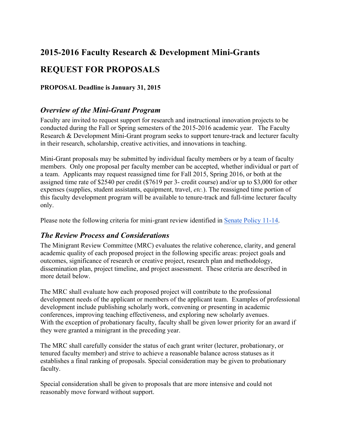# **2015-2016 Faculty Research & Development Mini-Grants REQUEST FOR PROPOSALS**

**PROPOSAL Deadline is January 31, 2015**

# *Overview of the Mini-Grant Program*

Faculty are invited to request support for research and instructional innovation projects to be conducted during the Fall or Spring semesters of the 2015-2016 academic year. The Faculty Research & Development Mini-Grant program seeks to support tenure-track and lecturer faculty in their research, scholarship, creative activities, and innovations in teaching.

Mini-Grant proposals may be submitted by individual faculty members or by a team of faculty members. Only one proposal per faculty member can be accepted, whether individual or part of a team. Applicants may request reassigned time for Fall 2015, Spring 2016, or both at the assigned time rate of \$2540 per credit (\$7619 per 3- credit course) and/or up to \$3,000 for other expenses (supplies, student assistants, equipment, travel, *etc.*). The reassigned time portion of this faculty development program will be available to tenure-track and full-time lecturer faculty only.

Please note the following criteria for mini-grant review identified in Senate Policy 11-14.

# *The Review Process and Considerations*

The Minigrant Review Committee (MRC) evaluates the relative coherence, clarity, and general academic quality of each proposed project in the following specific areas: project goals and outcomes, significance of research or creative project, research plan and methodology, dissemination plan, project timeline, and project assessment. These criteria are described in more detail below.

The MRC shall evaluate how each proposed project will contribute to the professional development needs of the applicant or members of the applicant team. Examples of professional development include publishing scholarly work, convening or presenting in academic conferences, improving teaching effectiveness, and exploring new scholarly avenues. With the exception of probationary faculty, faculty shall be given lower priority for an award if they were granted a minigrant in the preceding year.

The MRC shall carefully consider the status of each grant writer (lecturer, probationary, or tenured faculty member) and strive to achieve a reasonable balance across statuses as it establishes a final ranking of proposals. Special consideration may be given to probationary faculty.

Special consideration shall be given to proposals that are more intensive and could not reasonably move forward without support.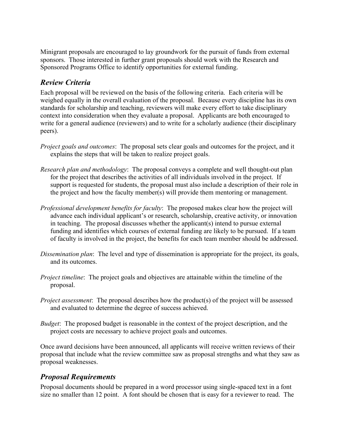Minigrant proposals are encouraged to lay groundwork for the pursuit of funds from external sponsors. Those interested in further grant proposals should work with the Research and Sponsored Programs Office to identify opportunities for external funding.

# *Review Criteria*

Each proposal will be reviewed on the basis of the following criteria. Each criteria will be weighed equally in the overall evaluation of the proposal. Because every discipline has its own standards for scholarship and teaching, reviewers will make every effort to take disciplinary context into consideration when they evaluate a proposal. Applicants are both encouraged to write for a general audience (reviewers) and to write for a scholarly audience (their disciplinary peers).

- *Project goals and outcomes*: The proposal sets clear goals and outcomes for the project, and it explains the steps that will be taken to realize project goals.
- *Research plan and methodology*: The proposal conveys a complete and well thought-out plan for the project that describes the activities of all individuals involved in the project. If support is requested for students, the proposal must also include a description of their role in the project and how the faculty member(s) will provide them mentoring or management.
- *Professional development benefits for faculty*: The proposed makes clear how the project will advance each individual applicant's or research, scholarship, creative activity, or innovation in teaching. The proposal discusses whether the applicant(s) intend to pursue external funding and identifies which courses of external funding are likely to be pursued. If a team of faculty is involved in the project, the benefits for each team member should be addressed.
- *Dissemination plan*: The level and type of dissemination is appropriate for the project, its goals, and its outcomes.
- *Project timeline*: The project goals and objectives are attainable within the timeline of the proposal.
- *Project assessment*: The proposal describes how the product(s) of the project will be assessed and evaluated to determine the degree of success achieved.
- *Budget*: The proposed budget is reasonable in the context of the project description, and the project costs are necessary to achieve project goals and outcomes.

Once award decisions have been announced, all applicants will receive written reviews of their proposal that include what the review committee saw as proposal strengths and what they saw as proposal weaknesses.

# *Proposal Requirements*

Proposal documents should be prepared in a word processor using single-spaced text in a font size no smaller than 12 point. A font should be chosen that is easy for a reviewer to read. The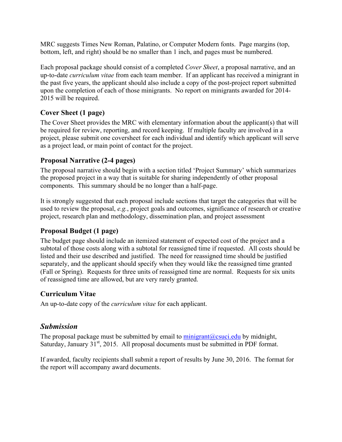MRC suggests Times New Roman, Palatino, or Computer Modern fonts. Page margins (top, bottom, left, and right) should be no smaller than 1 inch, and pages must be numbered.

Each proposal package should consist of a completed *Cover Sheet*, a proposal narrative, and an up-to-date *curriculum vitae* from each team member. If an applicant has received a minigrant in the past five years, the applicant should also include a copy of the post-project report submitted upon the completion of each of those minigrants. No report on minigrants awarded for 2014- 2015 will be required.

# **Cover Sheet (1 page)**

The Cover Sheet provides the MRC with elementary information about the applicant(s) that will be required for review, reporting, and record keeping. If multiple faculty are involved in a project, please submit one coversheet for each individual and identify which applicant will serve as a project lead, or main point of contact for the project.

#### **Proposal Narrative (2-4 pages)**

The proposal narrative should begin with a section titled 'Project Summary' which summarizes the proposed project in a way that is suitable for sharing independently of other proposal components. This summary should be no longer than a half-page.

It is strongly suggested that each proposal include sections that target the categories that will be used to review the proposal, *e.g.*, project goals and outcomes, significance of research or creative project, research plan and methodology, dissemination plan, and project assessment

# **Proposal Budget (1 page)**

The budget page should include an itemized statement of expected cost of the project and a subtotal of those costs along with a subtotal for reassigned time if requested. All costs should be listed and their use described and justified. The need for reassigned time should be justified separately, and the applicant should specify when they would like the reassigned time granted (Fall or Spring). Requests for three units of reassigned time are normal. Requests for six units of reassigned time are allowed, but are very rarely granted.

# **Curriculum Vitae**

An up-to-date copy of the *curriculum vitae* for each applicant.

# *Submission*

The proposal package must be submitted by email to  $minigrant(\partial_c)$ csuci.edu by midnight, Saturday, January  $31<sup>st</sup>$ , 2015. All proposal documents must be submitted in PDF format.

If awarded, faculty recipients shall submit a report of results by June 30, 2016. The format for the report will accompany award documents.